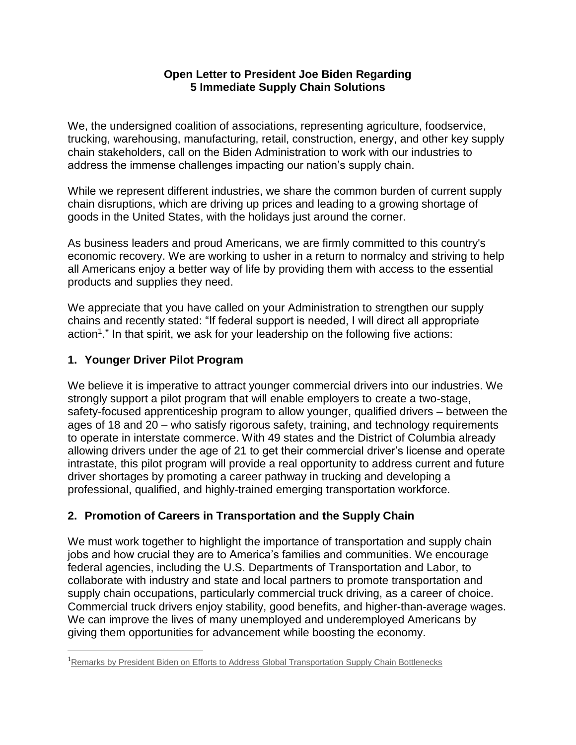#### **Open Letter to President Joe Biden Regarding 5 Immediate Supply Chain Solutions**

We, the undersigned coalition of associations, representing agriculture, foodservice, trucking, warehousing, manufacturing, retail, construction, energy, and other key supply chain stakeholders, call on the Biden Administration to work with our industries to address the immense challenges impacting our nation's supply chain.

While we represent different industries, we share the common burden of current supply chain disruptions, which are driving up prices and leading to a growing shortage of goods in the United States, with the holidays just around the corner.

As business leaders and proud Americans, we are firmly committed to this country's economic recovery. We are working to usher in a return to normalcy and striving to help all Americans enjoy a better way of life by providing them with access to the essential products and supplies they need.

We appreciate that you have called on your Administration to strengthen our supply chains and recently stated: "If federal support is needed, I will direct all appropriate action<sup>1</sup>." In that spirit, we ask for your leadership on the following five actions:

## **1. Younger Driver Pilot Program**

l

We believe it is imperative to attract younger commercial drivers into our industries. We strongly support a pilot program that will enable employers to create a two-stage, safety-focused apprenticeship program to allow younger, qualified drivers – between the ages of 18 and 20 – who satisfy rigorous safety, training, and technology requirements to operate in interstate commerce. With 49 states and the District of Columbia already allowing drivers under the age of 21 to get their commercial driver's license and operate intrastate, this pilot program will provide a real opportunity to address current and future driver shortages by promoting a career pathway in trucking and developing a professional, qualified, and highly-trained emerging transportation workforce.

# **2. Promotion of Careers in Transportation and the Supply Chain**

We must work together to highlight the importance of transportation and supply chain jobs and how crucial they are to America's families and communities. We encourage federal agencies, including the U.S. Departments of Transportation and Labor, to collaborate with industry and state and local partners to promote transportation and supply chain occupations, particularly commercial truck driving, as a career of choice. Commercial truck drivers enjoy stability, good benefits, and higher-than-average wages. We can improve the lives of many unemployed and underemployed Americans by giving them opportunities for advancement while boosting the economy.

<sup>&</sup>lt;sup>1</sup>Remarks by President [Biden on Efforts to Address Global Transportation Supply Chain](https://www.whitehouse.gov/briefing-room/speeches-remarks/2021/10/13/remarks-by-president-biden-on-supply-chain-bottlenecks/) Bottlenecks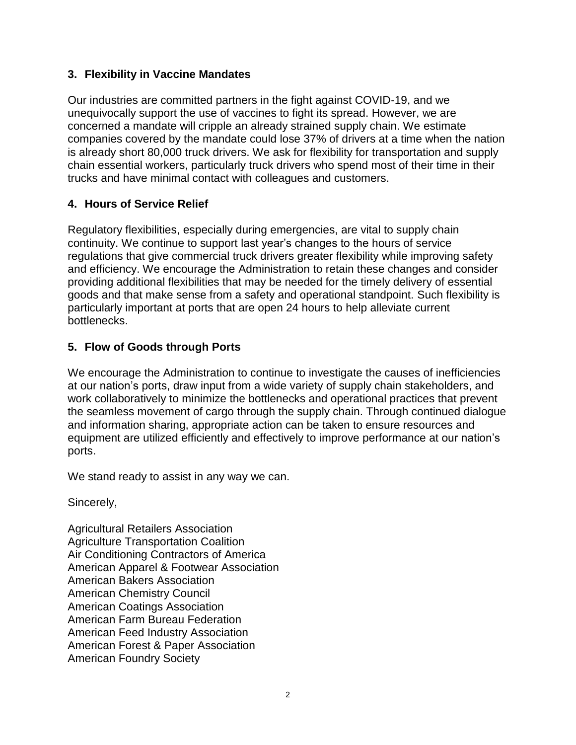## **3. Flexibility in Vaccine Mandates**

Our industries are committed partners in the fight against COVID-19, and we unequivocally support the use of vaccines to fight its spread. However, we are concerned a mandate will cripple an already strained supply chain. We estimate companies covered by the mandate could lose 37% of drivers at a time when the nation is already short 80,000 truck drivers. We ask for flexibility for transportation and supply chain essential workers, particularly truck drivers who spend most of their time in their trucks and have minimal contact with colleagues and customers.

## **4. Hours of Service Relief**

Regulatory flexibilities, especially during emergencies, are vital to supply chain continuity. We continue to support last year's changes to the hours of service regulations that give commercial truck drivers greater flexibility while improving safety and efficiency. We encourage the Administration to retain these changes and consider providing additional flexibilities that may be needed for the timely delivery of essential goods and that make sense from a safety and operational standpoint. Such flexibility is particularly important at ports that are open 24 hours to help alleviate current bottlenecks.

## **5. Flow of Goods through Ports**

We encourage the Administration to continue to investigate the causes of inefficiencies at our nation's ports, draw input from a wide variety of supply chain stakeholders, and work collaboratively to minimize the bottlenecks and operational practices that prevent the seamless movement of cargo through the supply chain. Through continued dialogue and information sharing, appropriate action can be taken to ensure resources and equipment are utilized efficiently and effectively to improve performance at our nation's ports.

We stand ready to assist in any way we can.

Sincerely,

Agricultural Retailers Association Agriculture Transportation Coalition Air Conditioning Contractors of America American Apparel & Footwear Association American Bakers Association American Chemistry Council American Coatings Association American Farm Bureau Federation American Feed Industry Association American Forest & Paper Association American Foundry Society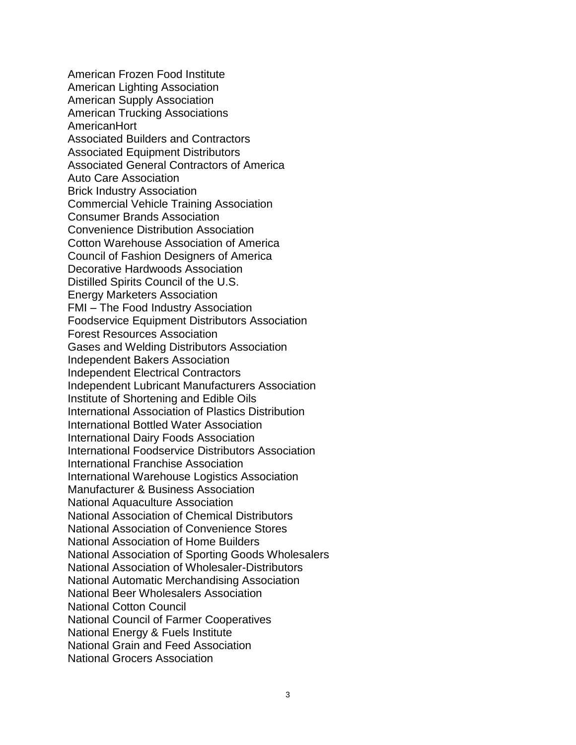American Frozen Food Institute American Lighting Association American Supply Association American Trucking Associations AmericanHort Associated Builders and Contractors Associated Equipment Distributors Associated General Contractors of America Auto Care Association Brick Industry Association Commercial Vehicle Training Association Consumer Brands Association Convenience Distribution Association Cotton Warehouse Association of America Council of Fashion Designers of America Decorative Hardwoods Association Distilled Spirits Council of the U.S. Energy Marketers Association FMI – The Food Industry Association Foodservice Equipment Distributors Association Forest Resources Association Gases and Welding Distributors Association Independent Bakers Association Independent Electrical Contractors Independent Lubricant Manufacturers Association Institute of Shortening and Edible Oils International Association of Plastics Distribution International Bottled Water Association International Dairy Foods Association International Foodservice Distributors Association International Franchise Association International Warehouse Logistics Association Manufacturer & Business Association National Aquaculture Association National Association of Chemical Distributors National Association of Convenience Stores National Association of Home Builders National Association of Sporting Goods Wholesalers National Association of Wholesaler-Distributors National Automatic Merchandising Association National Beer Wholesalers Association National Cotton Council National Council of Farmer Cooperatives National Energy & Fuels Institute National Grain and Feed Association National Grocers Association